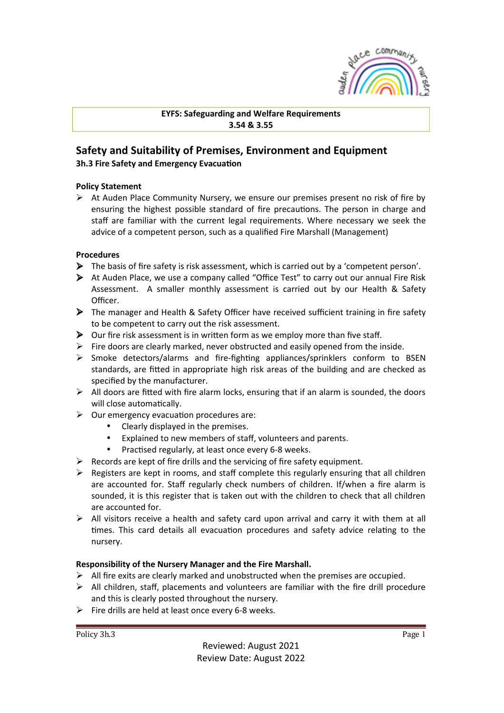

**EYFS: Safeguarding and Welfare Requirements 3.54 & 3.55**

# **Safety and Suitability of Premises, Environment and Equipment**

**3h.3 Fire Safety and Emergency Evacuation** 

## **Policy Statement**

 $\triangleright$  At Auden Place Community Nursery, we ensure our premises present no risk of fire by ensuring the highest possible standard of fire precautions. The person in charge and staff are familiar with the current legal requirements. Where necessary we seek the advice of a competent person, such as a qualified Fire Marshall (Management)

### **Procedures**

- $\triangleright$  The basis of fire safety is risk assessment, which is carried out by a 'competent person'.
- $\triangleright$  At Auden Place, we use a company called "Office Test" to carry out our annual Fire Risk Assessment. A smaller monthly assessment is carried out by our Health & Safety Officer.
- $\triangleright$  The manager and Health & Safety Officer have received sufficient training in fire safety to be competent to carry out the risk assessment.
- $\triangleright$  Our fire risk assessment is in written form as we employ more than five staff.
- $\triangleright$  Fire doors are clearly marked, never obstructed and easily opened from the inside.
- $\triangleright$  Smoke detectors/alarms and fire-fighting appliances/sprinklers conform to BSEN standards, are fitted in appropriate high risk areas of the building and are checked as specified by the manufacturer.
- $\triangleright$  All doors are fitted with fire alarm locks, ensuring that if an alarm is sounded, the doors will close automatically.
- $\triangleright$  Our emergency evacuation procedures are:
	- Clearly displayed in the premises.
	- Explained to new members of staff, volunteers and parents.
	- Practised regularly, at least once every 6-8 weeks.
- $\triangleright$  Records are kept of fire drills and the servicing of fire safety equipment.
- $\triangleright$  Registers are kept in rooms, and staff complete this regularly ensuring that all children are accounted for. Staff regularly check numbers of children. If/when a fire alarm is sounded, it is this register that is taken out with the children to check that all children are accounted for.
- $\triangleright$  All visitors receive a health and safety card upon arrival and carry it with them at all times. This card details all evacuation procedures and safety advice relating to the nursery.

## **Responsibility of the Nursery Manager and the Fire Marshall.**

- $\triangleright$  All fire exits are clearly marked and unobstructed when the premises are occupied.
- $\triangleright$  All children, staff, placements and volunteers are familiar with the fire drill procedure and this is clearly posted throughout the nursery.
- $\triangleright$  Fire drills are held at least once every 6-8 weeks.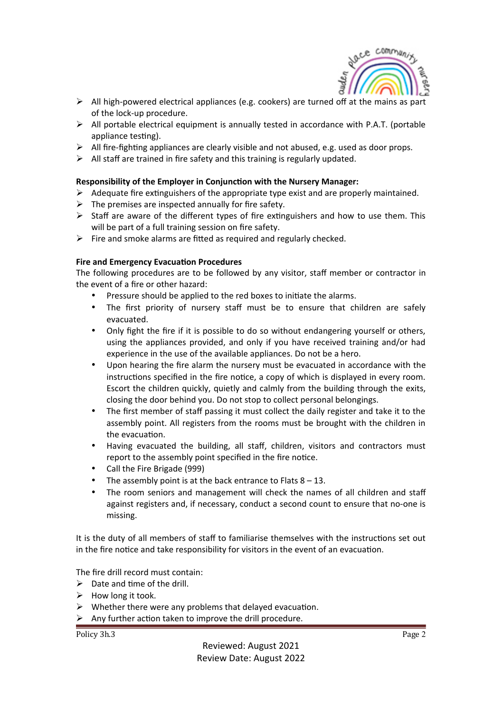

- $\triangleright$  All high-powered electrical appliances (e.g. cookers) are turned off at the mains as part of the lock-up procedure.
- $\triangleright$  All portable electrical equipment is annually tested in accordance with P.A.T. (portable appliance testing).
- $\triangleright$  All fire-fighting appliances are clearly visible and not abused, e.g. used as door props.
- $\triangleright$  All staff are trained in fire safety and this training is regularly updated.

### **Responsibility of the Employer in Conjunction with the Nursery Manager:**

- $\triangleright$  Adequate fire extinguishers of the appropriate type exist and are properly maintained.
- $\triangleright$  The premises are inspected annually for fire safety.
- $\triangleright$  Staff are aware of the different types of fire extinguishers and how to use them. This will be part of a full training session on fire safety.
- $\triangleright$  Fire and smoke alarms are fitted as required and regularly checked.

#### **Fire and Emergency Evacuation Procedures**

The following procedures are to be followed by any visitor, staff member or contractor in the event of a fire or other hazard:

- Pressure should be applied to the red boxes to initiate the alarms.
- The first priority of nursery staff must be to ensure that children are safely evacuated.
- Only fight the fire if it is possible to do so without endangering yourself or others, using the appliances provided, and only if you have received training and/or had experience in the use of the available appliances. Do not be a hero.
- Upon hearing the fire alarm the nursery must be evacuated in accordance with the instructions specified in the fire notice, a copy of which is displayed in every room. Escort the children quickly, quietly and calmly from the building through the exits, closing the door behind you. Do not stop to collect personal belongings.
- The first member of staff passing it must collect the daily register and take it to the assembly point. All registers from the rooms must be brought with the children in the evacuation.
- Having evacuated the building, all staff, children, visitors and contractors must report to the assembly point specified in the fire notice.
- Call the Fire Brigade (999)
- The assembly point is at the back entrance to Flats  $8 13$ .
- The room seniors and management will check the names of all children and staff against registers and, if necessary, conduct a second count to ensure that no-one is missing.

It is the duty of all members of staff to familiarise themselves with the instructions set out in the fire notice and take responsibility for visitors in the event of an evacuation.

The fire drill record must contain:

- $\triangleright$  Date and time of the drill.
- $\triangleright$  How long it took.
- $\triangleright$  Whether there were any problems that delayed evacuation.
- $\triangleright$  Any further action taken to improve the drill procedure.

Policy 3h.3 Page 2